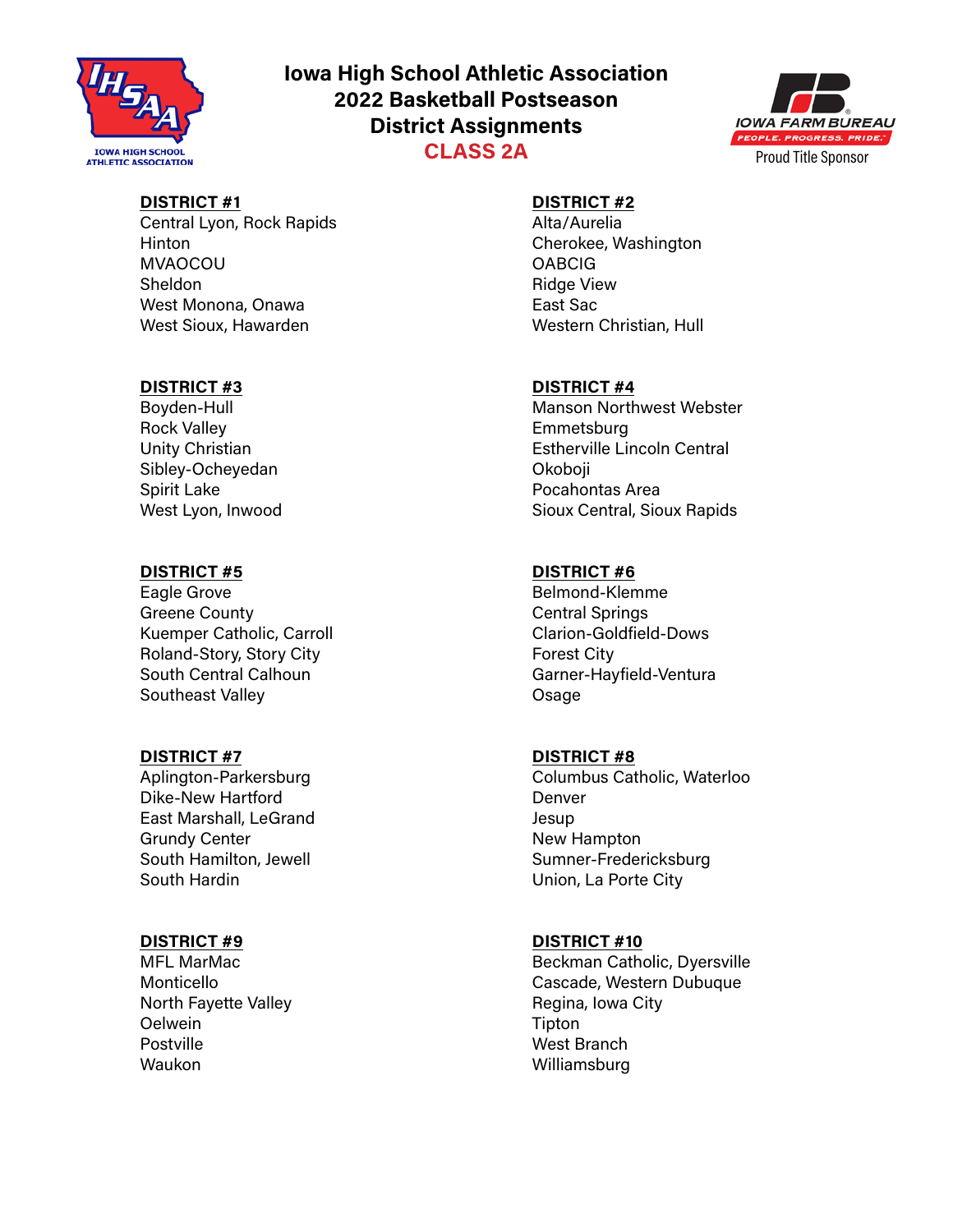

## **Iowa High School Athletic Association 2022 Basketball Postseason District Assignments CLASS 2A**



## **DISTRICT #1**

Central Lyon, Rock Rapids Hinton MVAOCOU Sheldon West Monona, Onawa West Sioux, Hawarden

#### **DISTRICT #3**

Boyden-Hull Rock Valley Unity Christian Sibley-Ocheyedan Spirit Lake West Lyon, Inwood

### **DISTRICT #5**

Eagle Grove Greene County Kuemper Catholic, Carroll Roland-Story, Story City South Central Calhoun Southeast Valley

### **DISTRICT #7**

Aplington-Parkersburg Dike-New Hartford East Marshall, LeGrand Grundy Center South Hamilton, Jewell South Hardin

### **DISTRICT #9**

MFL MarMac Monticello North Fayette Valley **Oelwein** Postville Waukon

# **DISTRICT #2**

Alta/Aurelia Cherokee, Washington **OABCIG** Ridge View East Sac Western Christian, Hull

#### **DISTRICT #4**

Manson Northwest Webster **Emmetsburg** Estherville Lincoln Central Okoboji Pocahontas Area Sioux Central, Sioux Rapids

#### **DISTRICT #6**

Belmond-Klemme Central Springs Clarion-Goldfield-Dows Forest City Garner-Hayfield-Ventura Osage

### **DISTRICT #8**

Columbus Catholic, Waterloo Denver Jesup New Hampton Sumner-Fredericksburg Union, La Porte City

#### **DISTRICT #10**

Beckman Catholic, Dyersville Cascade, Western Dubuque Regina, Iowa City Tipton West Branch Williamsburg